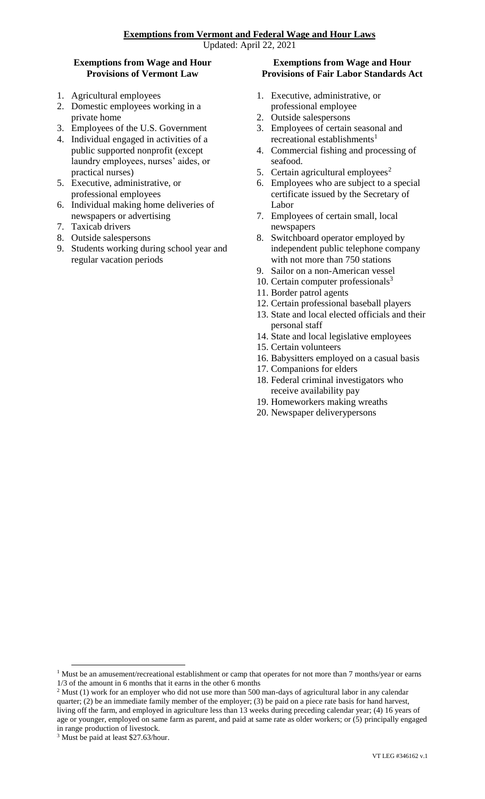## **Exemptions from Wage and Hour Provisions of Vermont Law**

- 1. Agricultural employees
- 2. Domestic employees working in a private home
- 3. Employees of the U.S. Government
- 4. Individual engaged in activities of a public supported nonprofit (except laundry employees, nurses' aides, or practical nurses)
- 5. Executive, administrative, or professional employees
- 6. Individual making home deliveries of newspapers or advertising
- 7. Taxicab drivers
- 8. Outside salespersons
- 9. Students working during school year and regular vacation periods

## **Exemptions from Wage and Hour Provisions of Fair Labor Standards Act**

- 1. Executive, administrative, or professional employee
- 2. Outside salespersons
- 3. Employees of certain seasonal and recreational establishments<sup>1</sup>
- 4. Commercial fishing and processing of seafood.
- 5. Certain agricultural employees<sup>2</sup>
- 6. Employees who are subject to a special certificate issued by the Secretary of Labor
- 7. Employees of certain small, local newspapers
- 8. Switchboard operator employed by independent public telephone company with not more than 750 stations
- 9. Sailor on a non-American vessel
- 10. Certain computer professionals $3$
- 11. Border patrol agents
- 12. Certain professional baseball players
- 13. State and local elected officials and their personal staff
- 14. State and local legislative employees
- 15. Certain volunteers
- 16. Babysitters employed on a casual basis
- 17. Companions for elders
- 18. Federal criminal investigators who receive availability pay
- 19. Homeworkers making wreaths
- 20. Newspaper deliverypersons

 $\overline{a}$ 

<sup>&</sup>lt;sup>1</sup> Must be an amusement/recreational establishment or camp that operates for not more than 7 months/year or earns 1/3 of the amount in 6 months that it earns in the other 6 months

 $2$  Must (1) work for an employer who did not use more than 500 man-days of agricultural labor in any calendar quarter; (2) be an immediate family member of the employer; (3) be paid on a piece rate basis for hand harvest, living off the farm, and employed in agriculture less than 13 weeks during preceding calendar year; (4) 16 years of

age or younger, employed on same farm as parent, and paid at same rate as older workers; or (5) principally engaged in range production of livestock.

<sup>&</sup>lt;sup>3</sup> Must be paid at least \$27.63/hour.